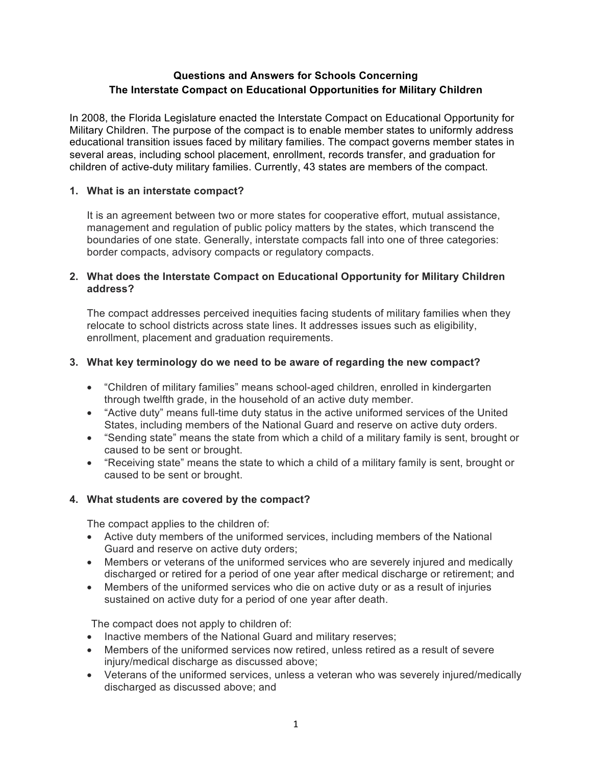# **Questions and Answers for Schools Concerning The Interstate Compact on Educational Opportunities for Military Children**

In 2008, the Florida Legislature enacted the Interstate Compact on Educational Opportunity for Military Children. The purpose of the compact is to enable member states to uniformly address educational transition issues faced by military families. The compact governs member states in several areas, including school placement, enrollment, records transfer, and graduation for children of active-duty military families. Currently, 43 states are members of the compact.

# **1. What is an interstate compact?**

It is an agreement between two or more states for cooperative effort, mutual assistance, management and regulation of public policy matters by the states, which transcend the boundaries of one state. Generally, interstate compacts fall into one of three categories: border compacts, advisory compacts or regulatory compacts.

# **2. What does the Interstate Compact on Educational Opportunity for Military Children address?**

The compact addresses perceived inequities facing students of military families when they relocate to school districts across state lines. It addresses issues such as eligibility, enrollment, placement and graduation requirements.

# **3. What key terminology do we need to be aware of regarding the new compact?**

- "Children of military families" means school-aged children, enrolled in kindergarten through twelfth grade, in the household of an active duty member.
- "Active duty" means full-time duty status in the active uniformed services of the United States, including members of the National Guard and reserve on active duty orders.
- "Sending state" means the state from which a child of a military family is sent, brought or caused to be sent or brought.
- "Receiving state" means the state to which a child of a military family is sent, brought or caused to be sent or brought.

# **4. What students are covered by the compact?**

The compact applies to the children of:

- Active duty members of the uniformed services, including members of the National Guard and reserve on active duty orders;
- Members or veterans of the uniformed services who are severely injured and medically discharged or retired for a period of one year after medical discharge or retirement; and
- Members of the uniformed services who die on active duty or as a result of injuries sustained on active duty for a period of one year after death.

The compact does not apply to children of:

- Inactive members of the National Guard and military reserves;
- Members of the uniformed services now retired, unless retired as a result of severe injury/medical discharge as discussed above;
- Veterans of the uniformed services, unless a veteran who was severely injured/medically discharged as discussed above; and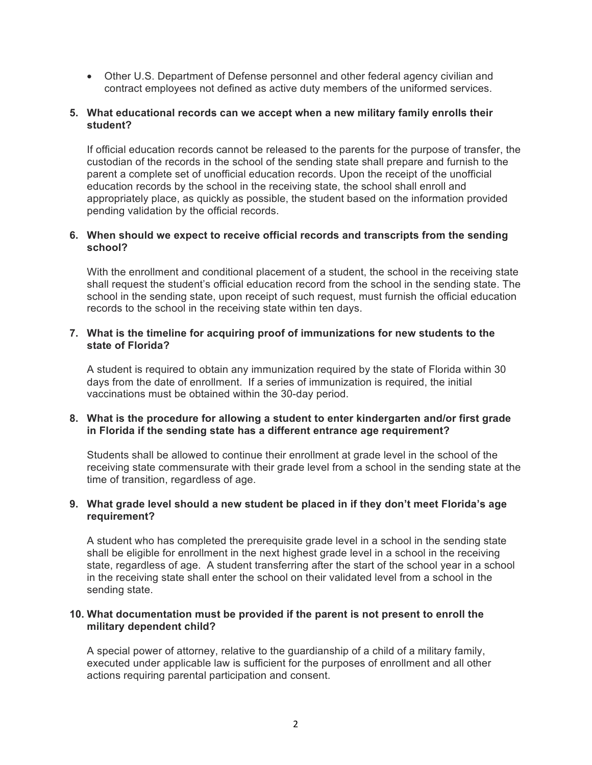• Other U.S. Department of Defense personnel and other federal agency civilian and contract employees not defined as active duty members of the uniformed services.

### **5. What educational records can we accept when a new military family enrolls their student?**

If official education records cannot be released to the parents for the purpose of transfer, the custodian of the records in the school of the sending state shall prepare and furnish to the parent a complete set of unofficial education records. Upon the receipt of the unofficial education records by the school in the receiving state, the school shall enroll and appropriately place, as quickly as possible, the student based on the information provided pending validation by the official records.

### **6. When should we expect to receive official records and transcripts from the sending school?**

With the enrollment and conditional placement of a student, the school in the receiving state shall request the student's official education record from the school in the sending state. The school in the sending state, upon receipt of such request, must furnish the official education records to the school in the receiving state within ten days.

### **7. What is the timeline for acquiring proof of immunizations for new students to the state of Florida?**

A student is required to obtain any immunization required by the state of Florida within 30 days from the date of enrollment. If a series of immunization is required, the initial vaccinations must be obtained within the 30-day period.

### **8. What is the procedure for allowing a student to enter kindergarten and/or first grade in Florida if the sending state has a different entrance age requirement?**

Students shall be allowed to continue their enrollment at grade level in the school of the receiving state commensurate with their grade level from a school in the sending state at the time of transition, regardless of age.

### **9. What grade level should a new student be placed in if they don't meet Florida's age requirement?**

A student who has completed the prerequisite grade level in a school in the sending state shall be eligible for enrollment in the next highest grade level in a school in the receiving state, regardless of age. A student transferring after the start of the school year in a school in the receiving state shall enter the school on their validated level from a school in the sending state.

### **10. What documentation must be provided if the parent is not present to enroll the military dependent child?**

A special power of attorney, relative to the guardianship of a child of a military family, executed under applicable law is sufficient for the purposes of enrollment and all other actions requiring parental participation and consent.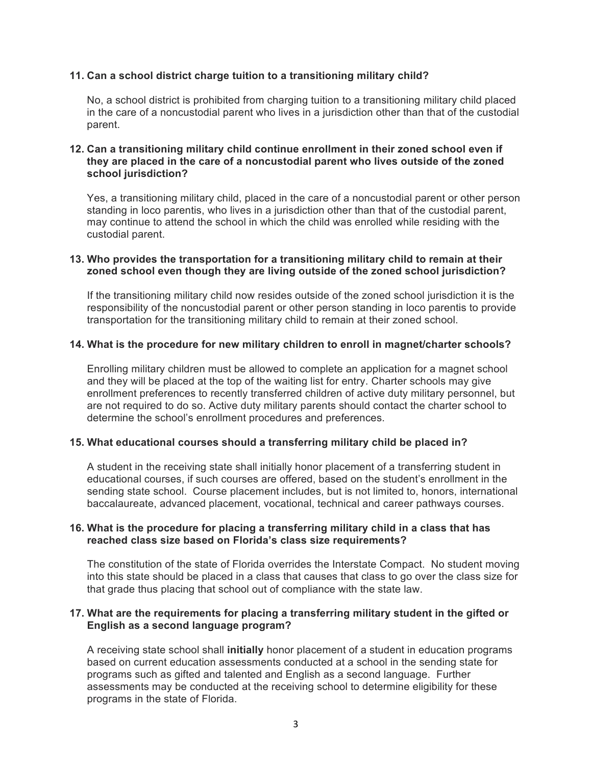## **11. Can a school district charge tuition to a transitioning military child?**

No, a school district is prohibited from charging tuition to a transitioning military child placed in the care of a noncustodial parent who lives in a jurisdiction other than that of the custodial parent.

## **12. Can a transitioning military child continue enrollment in their zoned school even if they are placed in the care of a noncustodial parent who lives outside of the zoned school jurisdiction?**

Yes, a transitioning military child, placed in the care of a noncustodial parent or other person standing in loco parentis, who lives in a jurisdiction other than that of the custodial parent, may continue to attend the school in which the child was enrolled while residing with the custodial parent.

#### **13. Who provides the transportation for a transitioning military child to remain at their zoned school even though they are living outside of the zoned school jurisdiction?**

If the transitioning military child now resides outside of the zoned school jurisdiction it is the responsibility of the noncustodial parent or other person standing in loco parentis to provide transportation for the transitioning military child to remain at their zoned school.

### **14. What is the procedure for new military children to enroll in magnet/charter schools?**

Enrolling military children must be allowed to complete an application for a magnet school and they will be placed at the top of the waiting list for entry. Charter schools may give enrollment preferences to recently transferred children of active duty military personnel, but are not required to do so. Active duty military parents should contact the charter school to determine the school's enrollment procedures and preferences.

#### **15. What educational courses should a transferring military child be placed in?**

A student in the receiving state shall initially honor placement of a transferring student in educational courses, if such courses are offered, based on the student's enrollment in the sending state school. Course placement includes, but is not limited to, honors, international baccalaureate, advanced placement, vocational, technical and career pathways courses.

### **16. What is the procedure for placing a transferring military child in a class that has reached class size based on Florida's class size requirements?**

The constitution of the state of Florida overrides the Interstate Compact. No student moving into this state should be placed in a class that causes that class to go over the class size for that grade thus placing that school out of compliance with the state law.

### **17. What are the requirements for placing a transferring military student in the gifted or English as a second language program?**

A receiving state school shall **initially** honor placement of a student in education programs based on current education assessments conducted at a school in the sending state for programs such as gifted and talented and English as a second language. Further assessments may be conducted at the receiving school to determine eligibility for these programs in the state of Florida.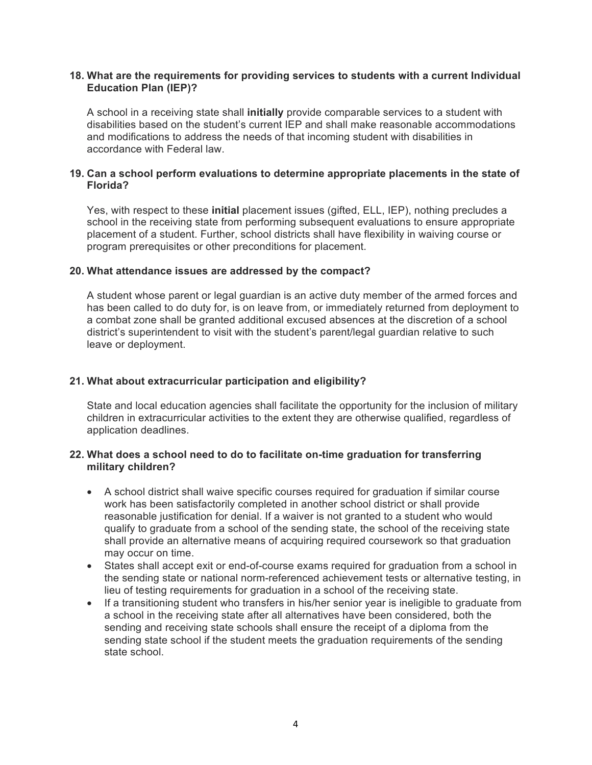### **18. What are the requirements for providing services to students with a current Individual Education Plan (IEP)?**

A school in a receiving state shall **initially** provide comparable services to a student with disabilities based on the student's current IEP and shall make reasonable accommodations and modifications to address the needs of that incoming student with disabilities in accordance with Federal law.

### **19. Can a school perform evaluations to determine appropriate placements in the state of Florida?**

Yes, with respect to these **initial** placement issues (gifted, ELL, IEP), nothing precludes a school in the receiving state from performing subsequent evaluations to ensure appropriate placement of a student. Further, school districts shall have flexibility in waiving course or program prerequisites or other preconditions for placement.

### **20. What attendance issues are addressed by the compact?**

A student whose parent or legal guardian is an active duty member of the armed forces and has been called to do duty for, is on leave from, or immediately returned from deployment to a combat zone shall be granted additional excused absences at the discretion of a school district's superintendent to visit with the student's parent/legal guardian relative to such leave or deployment.

## **21. What about extracurricular participation and eligibility?**

State and local education agencies shall facilitate the opportunity for the inclusion of military children in extracurricular activities to the extent they are otherwise qualified, regardless of application deadlines.

### **22. What does a school need to do to facilitate on-time graduation for transferring military children?**

- A school district shall waive specific courses required for graduation if similar course work has been satisfactorily completed in another school district or shall provide reasonable justification for denial. If a waiver is not granted to a student who would qualify to graduate from a school of the sending state, the school of the receiving state shall provide an alternative means of acquiring required coursework so that graduation may occur on time.
- States shall accept exit or end-of-course exams required for graduation from a school in the sending state or national norm-referenced achievement tests or alternative testing, in lieu of testing requirements for graduation in a school of the receiving state.
- If a transitioning student who transfers in his/her senior year is ineligible to graduate from a school in the receiving state after all alternatives have been considered, both the sending and receiving state schools shall ensure the receipt of a diploma from the sending state school if the student meets the graduation requirements of the sending state school.